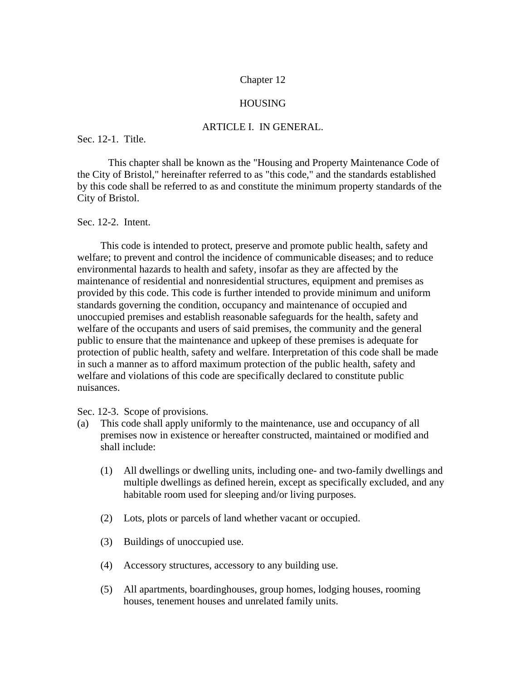### Chapter 12

### HOUSING

### ARTICLE I. IN GENERAL.

Sec. 12-1. Title.

This chapter shall be known as the "Housing and Property Maintenance Code of the City of Bristol," hereinafter referred to as "this code," and the standards established by this code shall be referred to as and constitute the minimum property standards of the City of Bristol.

Sec. 12-2. Intent.

This code is intended to protect, preserve and promote public health, safety and welfare; to prevent and control the incidence of communicable diseases; and to reduce environmental hazards to health and safety, insofar as they are affected by the maintenance of residential and nonresidential structures, equipment and premises as provided by this code. This code is further intended to provide minimum and uniform standards governing the condition, occupancy and maintenance of occupied and unoccupied premises and establish reasonable safeguards for the health, safety and welfare of the occupants and users of said premises, the community and the general public to ensure that the maintenance and upkeep of these premises is adequate for protection of public health, safety and welfare. Interpretation of this code shall be made in such a manner as to afford maximum protection of the public health, safety and welfare and violations of this code are specifically declared to constitute public nuisances.

Sec. 12-3. Scope of provisions.

- (a) This code shall apply uniformly to the maintenance, use and occupancy of all premises now in existence or hereafter constructed, maintained or modified and shall include:
	- (1) All dwellings or dwelling units, including one- and two-family dwellings and multiple dwellings as defined herein, except as specifically excluded, and any habitable room used for sleeping and/or living purposes.
	- (2) Lots, plots or parcels of land whether vacant or occupied.
	- (3) Buildings of unoccupied use.
	- (4) Accessory structures, accessory to any building use.
	- (5) All apartments, boardinghouses, group homes, lodging houses, rooming houses, tenement houses and unrelated family units.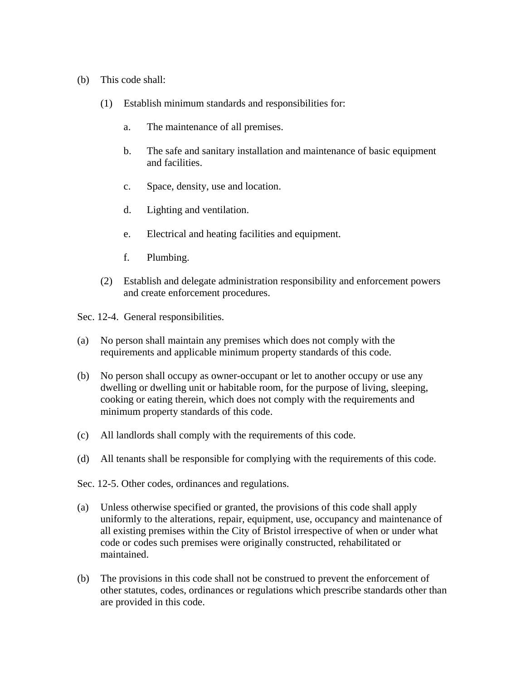- (b) This code shall:
	- (1) Establish minimum standards and responsibilities for:
		- a. The maintenance of all premises.
		- b. The safe and sanitary installation and maintenance of basic equipment and facilities.
		- c. Space, density, use and location.
		- d. Lighting and ventilation.
		- e. Electrical and heating facilities and equipment.
		- f. Plumbing.
	- (2) Establish and delegate administration responsibility and enforcement powers and create enforcement procedures.

Sec. 12-4. General responsibilities.

- (a) No person shall maintain any premises which does not comply with the requirements and applicable minimum property standards of this code.
- (b) No person shall occupy as owner-occupant or let to another occupy or use any dwelling or dwelling unit or habitable room, for the purpose of living, sleeping, cooking or eating therein, which does not comply with the requirements and minimum property standards of this code.
- (c) All landlords shall comply with the requirements of this code.
- (d) All tenants shall be responsible for complying with the requirements of this code.
- Sec. 12-5. Other codes, ordinances and regulations.
- (a) Unless otherwise specified or granted, the provisions of this code shall apply uniformly to the alterations, repair, equipment, use, occupancy and maintenance of all existing premises within the City of Bristol irrespective of when or under what code or codes such premises were originally constructed, rehabilitated or maintained.
- (b) The provisions in this code shall not be construed to prevent the enforcement of other statutes, codes, ordinances or regulations which prescribe standards other than are provided in this code.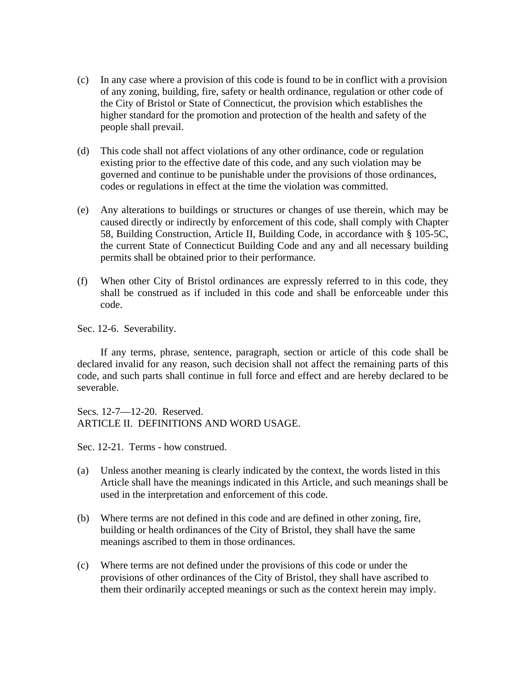- (c) In any case where a provision of this code is found to be in conflict with a provision of any zoning, building, fire, safety or health ordinance, regulation or other code of the City of Bristol or State of Connecticut, the provision which establishes the higher standard for the promotion and protection of the health and safety of the people shall prevail.
- (d) This code shall not affect violations of any other ordinance, code or regulation existing prior to the effective date of this code, and any such violation may be governed and continue to be punishable under the provisions of those ordinances, codes or regulations in effect at the time the violation was committed.
- (e) Any alterations to buildings or structures or changes of use therein, which may be caused directly or indirectly by enforcement of this code, shall comply with Chapter 58, Building Construction, Article II, Building Code, in accordance with § 105-5C, the current State of Connecticut Building Code and any and all necessary building permits shall be obtained prior to their performance.
- (f) When other City of Bristol ordinances are expressly referred to in this code, they shall be construed as if included in this code and shall be enforceable under this code.

Sec. 12-6. Severability.

If any terms, phrase, sentence, paragraph, section or article of this code shall be declared invalid for any reason, such decision shall not affect the remaining parts of this code, and such parts shall continue in full force and effect and are hereby declared to be severable.

Secs. 12-7—12-20. Reserved. ARTICLE II. DEFINITIONS AND WORD USAGE.

Sec. 12-21. Terms - how construed.

- (a) Unless another meaning is clearly indicated by the context, the words listed in this Article shall have the meanings indicated in this Article, and such meanings shall be used in the interpretation and enforcement of this code.
- (b) Where terms are not defined in this code and are defined in other zoning, fire, building or health ordinances of the City of Bristol, they shall have the same meanings ascribed to them in those ordinances.
- (c) Where terms are not defined under the provisions of this code or under the provisions of other ordinances of the City of Bristol, they shall have ascribed to them their ordinarily accepted meanings or such as the context herein may imply.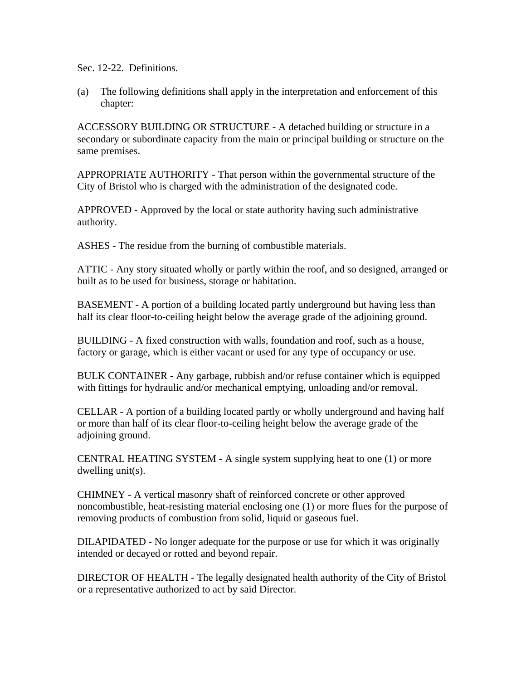Sec. 12-22. Definitions.

(a) The following definitions shall apply in the interpretation and enforcement of this chapter:

ACCESSORY BUILDING OR STRUCTURE - A detached building or structure in a secondary or subordinate capacity from the main or principal building or structure on the same premises.

APPROPRIATE AUTHORITY - That person within the governmental structure of the City of Bristol who is charged with the administration of the designated code.

APPROVED - Approved by the local or state authority having such administrative authority.

ASHES - The residue from the burning of combustible materials.

ATTIC - Any story situated wholly or partly within the roof, and so designed, arranged or built as to be used for business, storage or habitation.

BASEMENT - A portion of a building located partly underground but having less than half its clear floor-to-ceiling height below the average grade of the adjoining ground.

 BUILDING - A fixed construction with walls, foundation and roof, such as a house, factory or garage, which is either vacant or used for any type of occupancy or use.

 BULK CONTAINER - Any garbage, rubbish and/or refuse container which is equipped with fittings for hydraulic and/or mechanical emptying, unloading and/or removal.

 CELLAR - A portion of a building located partly or wholly underground and having half or more than half of its clear floor-to-ceiling height below the average grade of the adjoining ground.

 CENTRAL HEATING SYSTEM - A single system supplying heat to one (1) or more dwelling unit(s).

 CHIMNEY - A vertical masonry shaft of reinforced concrete or other approved noncombustible, heat-resisting material enclosing one (1) or more flues for the purpose of removing products of combustion from solid, liquid or gaseous fuel.

DILAPIDATED - No longer adequate for the purpose or use for which it was originally intended or decayed or rotted and beyond repair.

DIRECTOR OF HEALTH - The legally designated health authority of the City of Bristol or a representative authorized to act by said Director.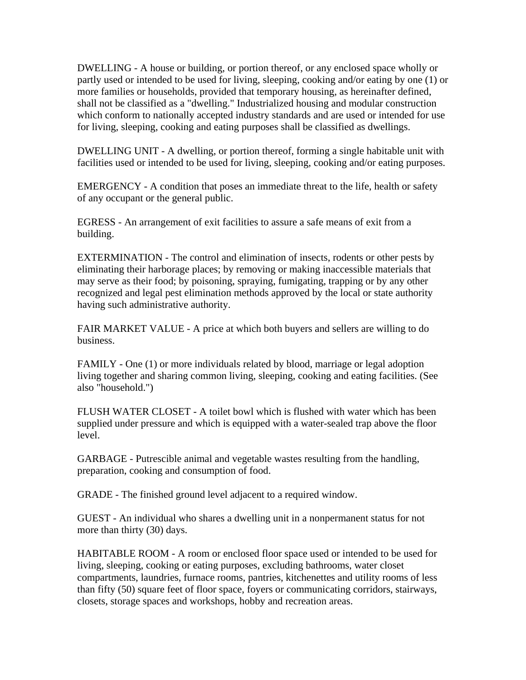DWELLING - A house or building, or portion thereof, or any enclosed space wholly or partly used or intended to be used for living, sleeping, cooking and/or eating by one (1) or more families or households, provided that temporary housing, as hereinafter defined, shall not be classified as a "dwelling." Industrialized housing and modular construction which conform to nationally accepted industry standards and are used or intended for use for living, sleeping, cooking and eating purposes shall be classified as dwellings.

DWELLING UNIT - A dwelling, or portion thereof, forming a single habitable unit with facilities used or intended to be used for living, sleeping, cooking and/or eating purposes.

EMERGENCY - A condition that poses an immediate threat to the life, health or safety of any occupant or the general public.

EGRESS - An arrangement of exit facilities to assure a safe means of exit from a building.

EXTERMINATION - The control and elimination of insects, rodents or other pests by eliminating their harborage places; by removing or making inaccessible materials that may serve as their food; by poisoning, spraying, fumigating, trapping or by any other recognized and legal pest elimination methods approved by the local or state authority having such administrative authority.

FAIR MARKET VALUE - A price at which both buyers and sellers are willing to do business.

FAMILY - One (1) or more individuals related by blood, marriage or legal adoption living together and sharing common living, sleeping, cooking and eating facilities. (See also "household.")

FLUSH WATER CLOSET - A toilet bowl which is flushed with water which has been supplied under pressure and which is equipped with a water-sealed trap above the floor level.

GARBAGE - Putrescible animal and vegetable wastes resulting from the handling, preparation, cooking and consumption of food.

GRADE - The finished ground level adjacent to a required window.

GUEST - An individual who shares a dwelling unit in a nonpermanent status for not more than thirty (30) days.

HABITABLE ROOM - A room or enclosed floor space used or intended to be used for living, sleeping, cooking or eating purposes, excluding bathrooms, water closet compartments, laundries, furnace rooms, pantries, kitchenettes and utility rooms of less than fifty (50) square feet of floor space, foyers or communicating corridors, stairways, closets, storage spaces and workshops, hobby and recreation areas.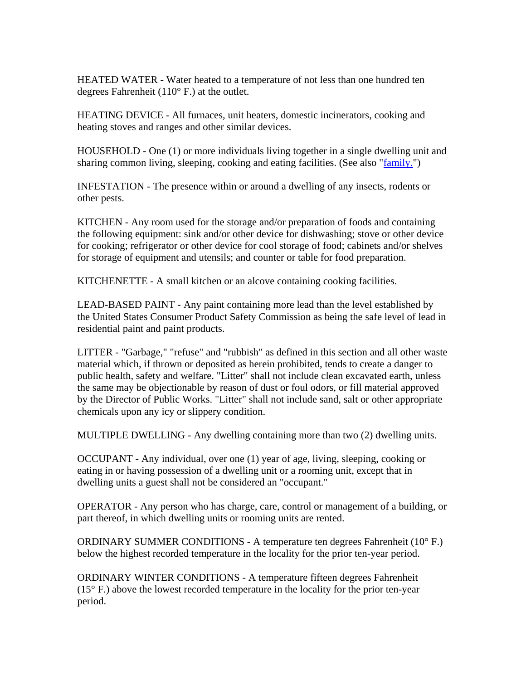HEATED WATER - Water heated to a temperature of not less than one hundred ten degrees Fahrenheit (110° F.) at the outlet.

HEATING DEVICE - All furnaces, unit heaters, domestic incinerators, cooking and heating stoves and ranges and other similar devices.

HOUSEHOLD - One (1) or more individuals living together in a single dwelling unit and sharing common living, sleeping, cooking and eating facilities. (See also "family.")

INFESTATION - The presence within or around a dwelling of any insects, rodents or other pests.

KITCHEN - Any room used for the storage and/or preparation of foods and containing the following equipment: sink and/or other device for dishwashing; stove or other device for cooking; refrigerator or other device for cool storage of food; cabinets and/or shelves for storage of equipment and utensils; and counter or table for food preparation.

KITCHENETTE - A small kitchen or an alcove containing cooking facilities.

LEAD-BASED PAINT - Any paint containing more lead than the level established by the United States Consumer Product Safety Commission as being the safe level of lead in residential paint and paint products.

LITTER - "Garbage," "refuse" and "rubbish" as defined in this section and all other waste material which, if thrown or deposited as herein prohibited, tends to create a danger to public health, safety and welfare. "Litter" shall not include clean excavated earth, unless the same may be objectionable by reason of dust or foul odors, or fill material approved by the Director of Public Works. "Litter" shall not include sand, salt or other appropriate chemicals upon any icy or slippery condition.

MULTIPLE DWELLING - Any dwelling containing more than two (2) dwelling units.

OCCUPANT - Any individual, over one (1) year of age, living, sleeping, cooking or eating in or having possession of a dwelling unit or a rooming unit, except that in dwelling units a guest shall not be considered an "occupant."

OPERATOR - Any person who has charge, care, control or management of a building, or part thereof, in which dwelling units or rooming units are rented.

ORDINARY SUMMER CONDITIONS - A temperature ten degrees Fahrenheit (10° F.) below the highest recorded temperature in the locality for the prior ten-year period.

ORDINARY WINTER CONDITIONS - A temperature fifteen degrees Fahrenheit  $(15^{\circ}$  F.) above the lowest recorded temperature in the locality for the prior ten-year period.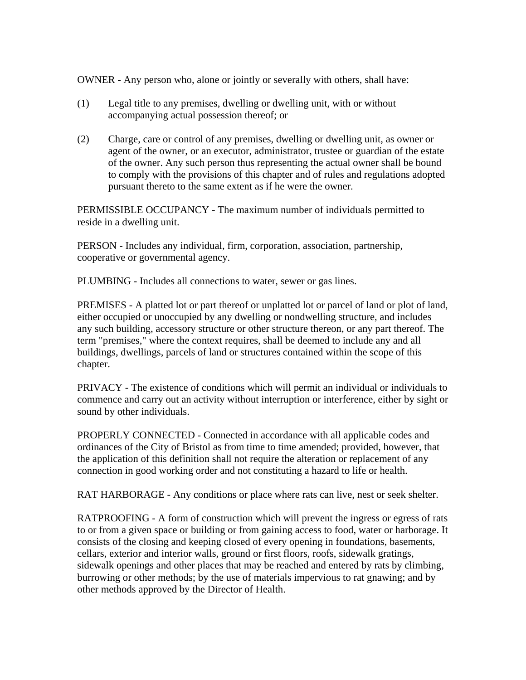OWNER - Any person who, alone or jointly or severally with others, shall have:

- (1) Legal title to any premises, dwelling or dwelling unit, with or without accompanying actual possession thereof; or
- (2) Charge, care or control of any premises, dwelling or dwelling unit, as owner or agent of the owner, or an executor, administrator, trustee or guardian of the estate of the owner. Any such person thus representing the actual owner shall be bound to comply with the provisions of this chapter and of rules and regulations adopted pursuant thereto to the same extent as if he were the owner.

PERMISSIBLE OCCUPANCY - The maximum number of individuals permitted to reside in a dwelling unit.

PERSON - Includes any individual, firm, corporation, association, partnership, cooperative or governmental agency.

PLUMBING - Includes all connections to water, sewer or gas lines.

PREMISES - A platted lot or part thereof or unplatted lot or parcel of land or plot of land, either occupied or unoccupied by any dwelling or nondwelling structure, and includes any such building, accessory structure or other structure thereon, or any part thereof. The term "premises," where the context requires, shall be deemed to include any and all buildings, dwellings, parcels of land or structures contained within the scope of this chapter.

PRIVACY - The existence of conditions which will permit an individual or individuals to commence and carry out an activity without interruption or interference, either by sight or sound by other individuals.

PROPERLY CONNECTED - Connected in accordance with all applicable codes and ordinances of the City of Bristol as from time to time amended; provided, however, that the application of this definition shall not require the alteration or replacement of any connection in good working order and not constituting a hazard to life or health.

RAT HARBORAGE - Any conditions or place where rats can live, nest or seek shelter.

RATPROOFING - A form of construction which will prevent the ingress or egress of rats to or from a given space or building or from gaining access to food, water or harborage. It consists of the closing and keeping closed of every opening in foundations, basements, cellars, exterior and interior walls, ground or first floors, roofs, sidewalk gratings, sidewalk openings and other places that may be reached and entered by rats by climbing, burrowing or other methods; by the use of materials impervious to rat gnawing; and by other methods approved by the Director of Health.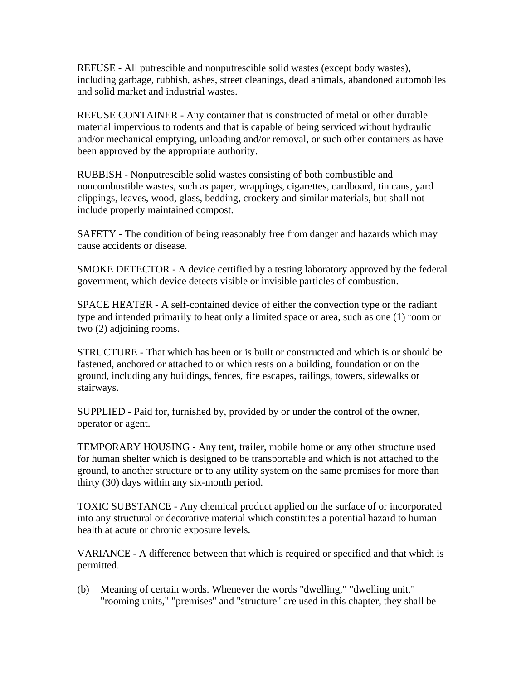REFUSE - All putrescible and nonputrescible solid wastes (except body wastes), including garbage, rubbish, ashes, street cleanings, dead animals, abandoned automobiles and solid market and industrial wastes.

REFUSE CONTAINER - Any container that is constructed of metal or other durable material impervious to rodents and that is capable of being serviced without hydraulic and/or mechanical emptying, unloading and/or removal, or such other containers as have been approved by the appropriate authority.

RUBBISH - Nonputrescible solid wastes consisting of both combustible and noncombustible wastes, such as paper, wrappings, cigarettes, cardboard, tin cans, yard clippings, leaves, wood, glass, bedding, crockery and similar materials, but shall not include properly maintained compost.

SAFETY - The condition of being reasonably free from danger and hazards which may cause accidents or disease.

SMOKE DETECTOR - A device certified by a testing laboratory approved by the federal government, which device detects visible or invisible particles of combustion.

SPACE HEATER - A self-contained device of either the convection type or the radiant type and intended primarily to heat only a limited space or area, such as one (1) room or two (2) adjoining rooms.

STRUCTURE - That which has been or is built or constructed and which is or should be fastened, anchored or attached to or which rests on a building, foundation or on the ground, including any buildings, fences, fire escapes, railings, towers, sidewalks or stairways.

SUPPLIED - Paid for, furnished by, provided by or under the control of the owner, operator or agent.

TEMPORARY HOUSING - Any tent, trailer, mobile home or any other structure used for human shelter which is designed to be transportable and which is not attached to the ground, to another structure or to any utility system on the same premises for more than thirty (30) days within any six-month period.

TOXIC SUBSTANCE - Any chemical product applied on the surface of or incorporated into any structural or decorative material which constitutes a potential hazard to human health at acute or chronic exposure levels.

VARIANCE - A difference between that which is required or specified and that which is permitted.

(b) Meaning of certain words. Whenever the words "dwelling," "dwelling unit," "rooming units," "premises" and "structure" are used in this chapter, they shall be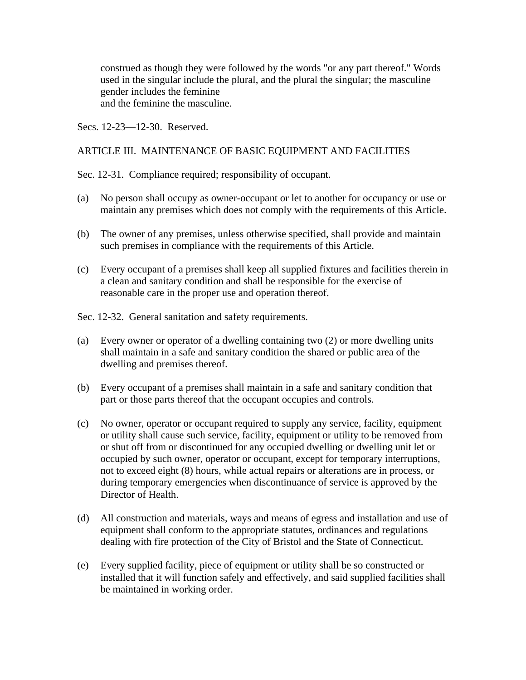construed as though they were followed by the words "or any part thereof." Words used in the singular include the plural, and the plural the singular; the masculine gender includes the feminine and the feminine the masculine.

Secs. 12-23—12-30. Reserved.

## ARTICLE III. MAINTENANCE OF BASIC EQUIPMENT AND FACILITIES

Sec. 12-31. Compliance required; responsibility of occupant.

- (a) No person shall occupy as owner-occupant or let to another for occupancy or use or maintain any premises which does not comply with the requirements of this Article.
- (b) The owner of any premises, unless otherwise specified, shall provide and maintain such premises in compliance with the requirements of this Article.
- (c) Every occupant of a premises shall keep all supplied fixtures and facilities therein in a clean and sanitary condition and shall be responsible for the exercise of reasonable care in the proper use and operation thereof.

Sec. 12-32. General sanitation and safety requirements.

- (a) Every owner or operator of a dwelling containing two (2) or more dwelling units shall maintain in a safe and sanitary condition the shared or public area of the dwelling and premises thereof.
- (b) Every occupant of a premises shall maintain in a safe and sanitary condition that part or those parts thereof that the occupant occupies and controls.
- (c) No owner, operator or occupant required to supply any service, facility, equipment or utility shall cause such service, facility, equipment or utility to be removed from or shut off from or discontinued for any occupied dwelling or dwelling unit let or occupied by such owner, operator or occupant, except for temporary interruptions, not to exceed eight (8) hours, while actual repairs or alterations are in process, or during temporary emergencies when discontinuance of service is approved by the Director of Health.
- (d) All construction and materials, ways and means of egress and installation and use of equipment shall conform to the appropriate statutes, ordinances and regulations dealing with fire protection of the City of Bristol and the State of Connecticut.
- (e) Every supplied facility, piece of equipment or utility shall be so constructed or installed that it will function safely and effectively, and said supplied facilities shall be maintained in working order.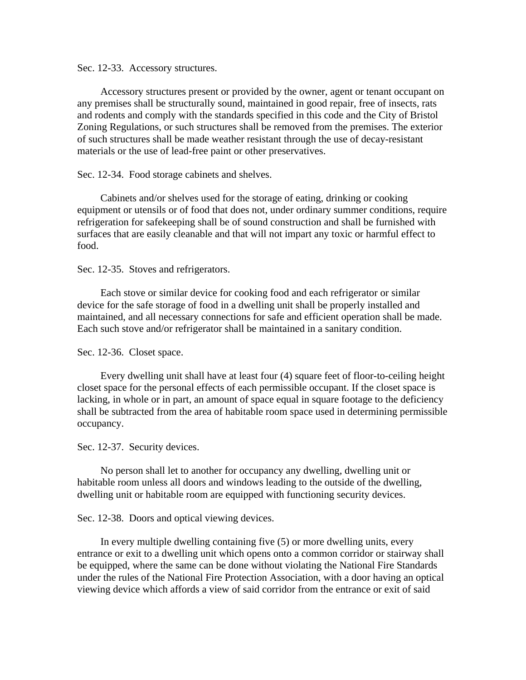Sec. 12-33. Accessory structures.

Accessory structures present or provided by the owner, agent or tenant occupant on any premises shall be structurally sound, maintained in good repair, free of insects, rats and rodents and comply with the standards specified in this code and the City of Bristol Zoning Regulations, or such structures shall be removed from the premises. The exterior of such structures shall be made weather resistant through the use of decay-resistant materials or the use of lead-free paint or other preservatives.

Sec. 12-34. Food storage cabinets and shelves.

Cabinets and/or shelves used for the storage of eating, drinking or cooking equipment or utensils or of food that does not, under ordinary summer conditions, require refrigeration for safekeeping shall be of sound construction and shall be furnished with surfaces that are easily cleanable and that will not impart any toxic or harmful effect to food.

#### Sec. 12-35. Stoves and refrigerators.

Each stove or similar device for cooking food and each refrigerator or similar device for the safe storage of food in a dwelling unit shall be properly installed and maintained, and all necessary connections for safe and efficient operation shall be made. Each such stove and/or refrigerator shall be maintained in a sanitary condition.

#### Sec. 12-36. Closet space.

Every dwelling unit shall have at least four (4) square feet of floor-to-ceiling height closet space for the personal effects of each permissible occupant. If the closet space is lacking, in whole or in part, an amount of space equal in square footage to the deficiency shall be subtracted from the area of habitable room space used in determining permissible occupancy.

#### Sec. 12-37. Security devices.

No person shall let to another for occupancy any dwelling, dwelling unit or habitable room unless all doors and windows leading to the outside of the dwelling, dwelling unit or habitable room are equipped with functioning security devices.

#### Sec. 12-38. Doors and optical viewing devices.

In every multiple dwelling containing five (5) or more dwelling units, every entrance or exit to a dwelling unit which opens onto a common corridor or stairway shall be equipped, where the same can be done without violating the National Fire Standards under the rules of the National Fire Protection Association, with a door having an optical viewing device which affords a view of said corridor from the entrance or exit of said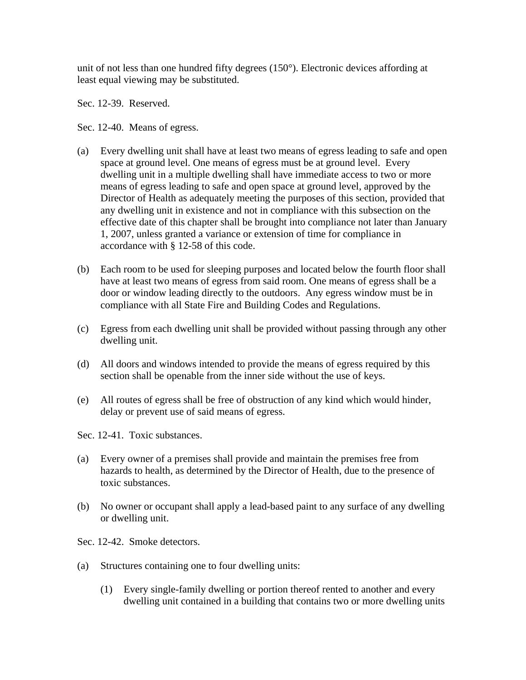unit of not less than one hundred fifty degrees (150°). Electronic devices affording at least equal viewing may be substituted.

Sec. 12-39. Reserved.

Sec. 12-40. Means of egress.

- (a) Every dwelling unit shall have at least two means of egress leading to safe and open space at ground level. One means of egress must be at ground level. Every dwelling unit in a multiple dwelling shall have immediate access to two or more means of egress leading to safe and open space at ground level, approved by the Director of Health as adequately meeting the purposes of this section, provided that any dwelling unit in existence and not in compliance with this subsection on the effective date of this chapter shall be brought into compliance not later than January 1, 2007, unless granted a variance or extension of time for compliance in accordance with § 12-58 of this code.
- (b) Each room to be used for sleeping purposes and located below the fourth floor shall have at least two means of egress from said room. One means of egress shall be a door or window leading directly to the outdoors. Any egress window must be in compliance with all State Fire and Building Codes and Regulations.
- (c) Egress from each dwelling unit shall be provided without passing through any other dwelling unit.
- (d) All doors and windows intended to provide the means of egress required by this section shall be openable from the inner side without the use of keys.
- (e) All routes of egress shall be free of obstruction of any kind which would hinder, delay or prevent use of said means of egress.

Sec. 12-41. Toxic substances.

- (a) Every owner of a premises shall provide and maintain the premises free from hazards to health, as determined by the Director of Health, due to the presence of toxic substances.
- (b) No owner or occupant shall apply a lead-based paint to any surface of any dwelling or dwelling unit.
- Sec. 12-42. Smoke detectors.
- (a) Structures containing one to four dwelling units:
	- (1) Every single-family dwelling or portion thereof rented to another and every dwelling unit contained in a building that contains two or more dwelling units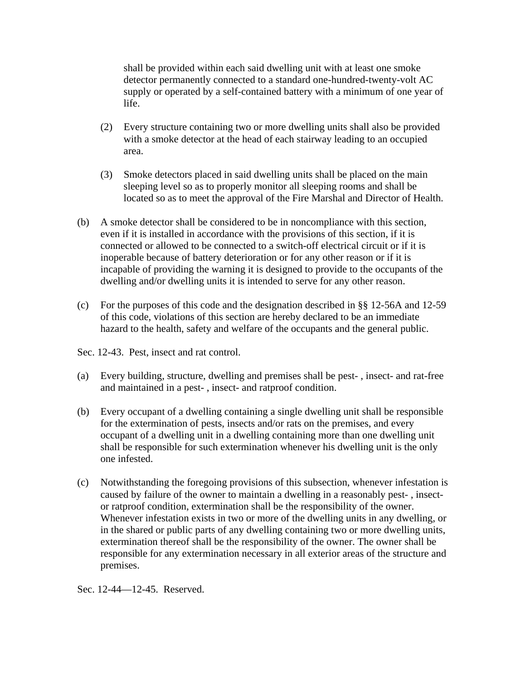shall be provided within each said dwelling unit with at least one smoke detector permanently connected to a standard one-hundred-twenty-volt AC supply or operated by a self-contained battery with a minimum of one year of life.

- (2) Every structure containing two or more dwelling units shall also be provided with a smoke detector at the head of each stairway leading to an occupied area.
- (3) Smoke detectors placed in said dwelling units shall be placed on the main sleeping level so as to properly monitor all sleeping rooms and shall be located so as to meet the approval of the Fire Marshal and Director of Health.
- (b) A smoke detector shall be considered to be in noncompliance with this section, even if it is installed in accordance with the provisions of this section, if it is connected or allowed to be connected to a switch-off electrical circuit or if it is inoperable because of battery deterioration or for any other reason or if it is incapable of providing the warning it is designed to provide to the occupants of the dwelling and/or dwelling units it is intended to serve for any other reason.
- (c) For the purposes of this code and the designation described in §§ 12-56A and 12-59 of this code, violations of this section are hereby declared to be an immediate hazard to the health, safety and welfare of the occupants and the general public.

Sec. 12-43. Pest, insect and rat control.

- (a) Every building, structure, dwelling and premises shall be pest- , insect- and rat-free and maintained in a pest- , insect- and ratproof condition.
- (b) Every occupant of a dwelling containing a single dwelling unit shall be responsible for the extermination of pests, insects and/or rats on the premises, and every occupant of a dwelling unit in a dwelling containing more than one dwelling unit shall be responsible for such extermination whenever his dwelling unit is the only one infested.
- (c) Notwithstanding the foregoing provisions of this subsection, whenever infestation is caused by failure of the owner to maintain a dwelling in a reasonably pest- , insector ratproof condition, extermination shall be the responsibility of the owner. Whenever infestation exists in two or more of the dwelling units in any dwelling, or in the shared or public parts of any dwelling containing two or more dwelling units, extermination thereof shall be the responsibility of the owner. The owner shall be responsible for any extermination necessary in all exterior areas of the structure and premises.

Sec. 12-44—12-45. Reserved.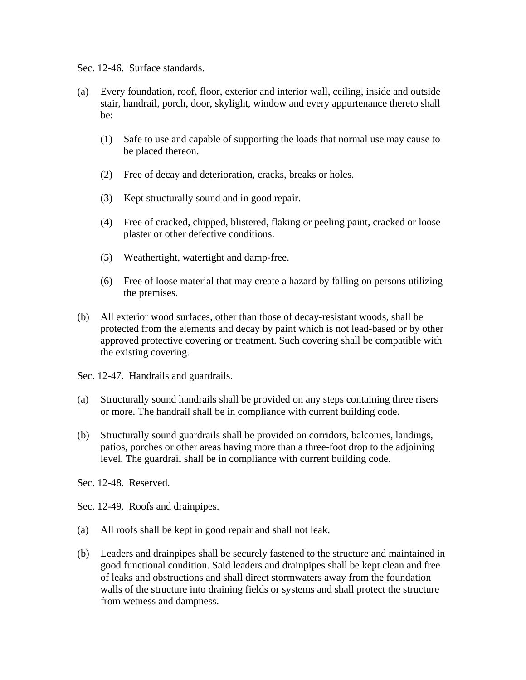Sec. 12-46. Surface standards.

- (a) Every foundation, roof, floor, exterior and interior wall, ceiling, inside and outside stair, handrail, porch, door, skylight, window and every appurtenance thereto shall be:
	- (1) Safe to use and capable of supporting the loads that normal use may cause to be placed thereon.
	- (2) Free of decay and deterioration, cracks, breaks or holes.
	- (3) Kept structurally sound and in good repair.
	- (4) Free of cracked, chipped, blistered, flaking or peeling paint, cracked or loose plaster or other defective conditions.
	- (5) Weathertight, watertight and damp-free.
	- (6) Free of loose material that may create a hazard by falling on persons utilizing the premises.
- (b) All exterior wood surfaces, other than those of decay-resistant woods, shall be protected from the elements and decay by paint which is not lead-based or by other approved protective covering or treatment. Such covering shall be compatible with the existing covering.
- Sec. 12-47. Handrails and guardrails.
- (a) Structurally sound handrails shall be provided on any steps containing three risers or more. The handrail shall be in compliance with current building code.
- (b) Structurally sound guardrails shall be provided on corridors, balconies, landings, patios, porches or other areas having more than a three-foot drop to the adjoining level. The guardrail shall be in compliance with current building code.

Sec. 12-48. Reserved.

Sec. 12-49. Roofs and drainpipes.

- (a) All roofs shall be kept in good repair and shall not leak.
- (b) Leaders and drainpipes shall be securely fastened to the structure and maintained in good functional condition. Said leaders and drainpipes shall be kept clean and free of leaks and obstructions and shall direct stormwaters away from the foundation walls of the structure into draining fields or systems and shall protect the structure from wetness and dampness.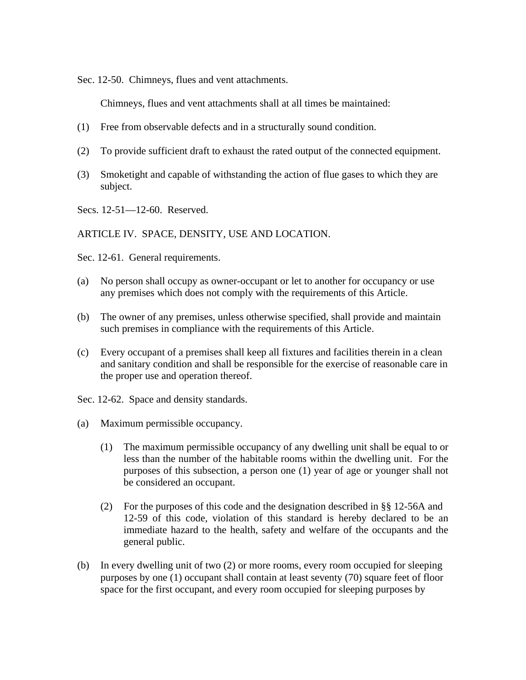Sec. 12-50. Chimneys, flues and vent attachments.

Chimneys, flues and vent attachments shall at all times be maintained:

- (1) Free from observable defects and in a structurally sound condition.
- (2) To provide sufficient draft to exhaust the rated output of the connected equipment.
- (3) Smoketight and capable of withstanding the action of flue gases to which they are subject.
- Secs. 12-51—12-60. Reserved.

ARTICLE IV. SPACE, DENSITY, USE AND LOCATION.

Sec. 12-61. General requirements.

- (a) No person shall occupy as owner-occupant or let to another for occupancy or use any premises which does not comply with the requirements of this Article.
- (b) The owner of any premises, unless otherwise specified, shall provide and maintain such premises in compliance with the requirements of this Article.
- (c) Every occupant of a premises shall keep all fixtures and facilities therein in a clean and sanitary condition and shall be responsible for the exercise of reasonable care in the proper use and operation thereof.
- Sec. 12-62. Space and density standards.
- (a) Maximum permissible occupancy.
	- (1) The maximum permissible occupancy of any dwelling unit shall be equal to or less than the number of the habitable rooms within the dwelling unit. For the purposes of this subsection, a person one (1) year of age or younger shall not be considered an occupant.
	- (2) For the purposes of this code and the designation described in §§ 12-56A and 12-59 of this code, violation of this standard is hereby declared to be an immediate hazard to the health, safety and welfare of the occupants and the general public.
- (b) In every dwelling unit of two (2) or more rooms, every room occupied for sleeping purposes by one (1) occupant shall contain at least seventy (70) square feet of floor space for the first occupant, and every room occupied for sleeping purposes by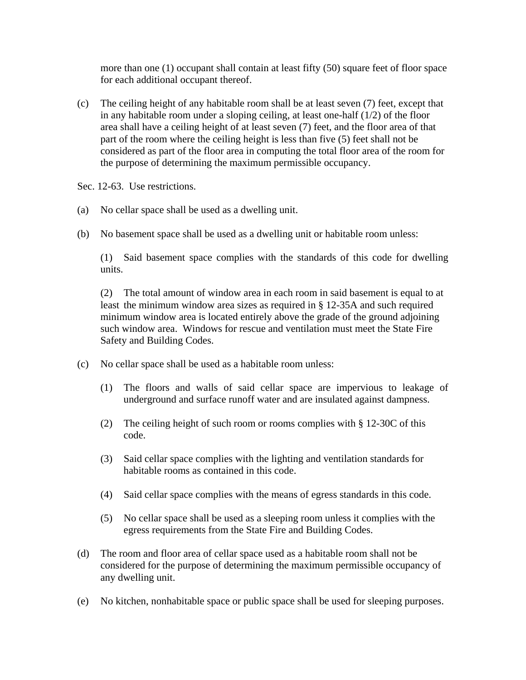more than one (1) occupant shall contain at least fifty (50) square feet of floor space for each additional occupant thereof.

(c) The ceiling height of any habitable room shall be at least seven (7) feet, except that in any habitable room under a sloping ceiling, at least one-half (1/2) of the floor area shall have a ceiling height of at least seven (7) feet, and the floor area of that part of the room where the ceiling height is less than five (5) feet shall not be considered as part of the floor area in computing the total floor area of the room for the purpose of determining the maximum permissible occupancy.

Sec. 12-63. Use restrictions.

- (a) No cellar space shall be used as a dwelling unit.
- (b) No basement space shall be used as a dwelling unit or habitable room unless:

 (1) Said basement space complies with the standards of this code for dwelling units.

 (2) The total amount of window area in each room in said basement is equal to at least the minimum window area sizes as required in § 12-35A and such required minimum window area is located entirely above the grade of the ground adjoining such window area. Windows for rescue and ventilation must meet the State Fire Safety and Building Codes.

- (c) No cellar space shall be used as a habitable room unless:
	- (1) The floors and walls of said cellar space are impervious to leakage of underground and surface runoff water and are insulated against dampness.
	- (2) The ceiling height of such room or rooms complies with § 12-30C of this code.
	- (3) Said cellar space complies with the lighting and ventilation standards for habitable rooms as contained in this code.
	- (4) Said cellar space complies with the means of egress standards in this code.
	- (5) No cellar space shall be used as a sleeping room unless it complies with the egress requirements from the State Fire and Building Codes.
- (d) The room and floor area of cellar space used as a habitable room shall not be considered for the purpose of determining the maximum permissible occupancy of any dwelling unit.
- (e) No kitchen, nonhabitable space or public space shall be used for sleeping purposes.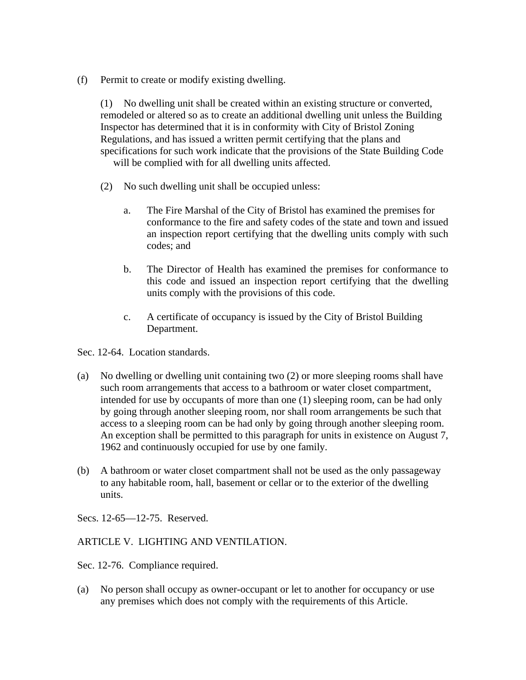(f) Permit to create or modify existing dwelling.

 (1) No dwelling unit shall be created within an existing structure or converted, remodeled or altered so as to create an additional dwelling unit unless the Building Inspector has determined that it is in conformity with City of Bristol Zoning Regulations, and has issued a written permit certifying that the plans and specifications for such work indicate that the provisions of the State Building Code will be complied with for all dwelling units affected.

- (2) No such dwelling unit shall be occupied unless:
	- a. The Fire Marshal of the City of Bristol has examined the premises for conformance to the fire and safety codes of the state and town and issued an inspection report certifying that the dwelling units comply with such codes; and
	- b. The Director of Health has examined the premises for conformance to this code and issued an inspection report certifying that the dwelling units comply with the provisions of this code.
	- c. A certificate of occupancy is issued by the City of Bristol Building Department.

Sec. 12-64. Location standards.

- (a) No dwelling or dwelling unit containing two (2) or more sleeping rooms shall have such room arrangements that access to a bathroom or water closet compartment, intended for use by occupants of more than one (1) sleeping room, can be had only by going through another sleeping room, nor shall room arrangements be such that access to a sleeping room can be had only by going through another sleeping room. An exception shall be permitted to this paragraph for units in existence on August 7, 1962 and continuously occupied for use by one family.
- (b) A bathroom or water closet compartment shall not be used as the only passageway to any habitable room, hall, basement or cellar or to the exterior of the dwelling units.

Secs. 12-65—12-75. Reserved.

## ARTICLE V. LIGHTING AND VENTILATION.

Sec. 12-76. Compliance required.

(a) No person shall occupy as owner-occupant or let to another for occupancy or use any premises which does not comply with the requirements of this Article.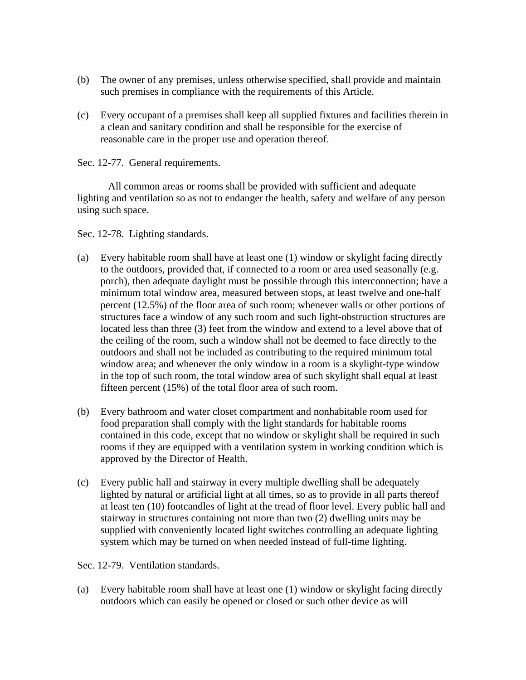- (b) The owner of any premises, unless otherwise specified, shall provide and maintain such premises in compliance with the requirements of this Article.
- (c) Every occupant of a premises shall keep all supplied fixtures and facilities therein in a clean and sanitary condition and shall be responsible for the exercise of reasonable care in the proper use and operation thereof.
- Sec. 12-77. General requirements.

 All common areas or rooms shall be provided with sufficient and adequate lighting and ventilation so as not to endanger the health, safety and welfare of any person using such space.

Sec. 12-78. Lighting standards.

- (a) Every habitable room shall have at least one (1) window or skylight facing directly to the outdoors, provided that, if connected to a room or area used seasonally (e.g. porch), then adequate daylight must be possible through this interconnection; have a minimum total window area, measured between stops, at least twelve and one-half percent (12.5%) of the floor area of such room; whenever walls or other portions of structures face a window of any such room and such light-obstruction structures are located less than three (3) feet from the window and extend to a level above that of the ceiling of the room, such a window shall not be deemed to face directly to the outdoors and shall not be included as contributing to the required minimum total window area; and whenever the only window in a room is a skylight-type window in the top of such room, the total window area of such skylight shall equal at least fifteen percent (15%) of the total floor area of such room.
- (b) Every bathroom and water closet compartment and nonhabitable room used for food preparation shall comply with the light standards for habitable rooms contained in this code, except that no window or skylight shall be required in such rooms if they are equipped with a ventilation system in working condition which is approved by the Director of Health.
- (c) Every public hall and stairway in every multiple dwelling shall be adequately lighted by natural or artificial light at all times, so as to provide in all parts thereof at least ten (10) footcandles of light at the tread of floor level. Every public hall and stairway in structures containing not more than two (2) dwelling units may be supplied with conveniently located light switches controlling an adequate lighting system which may be turned on when needed instead of full-time lighting.

Sec. 12-79. Ventilation standards.

(a) Every habitable room shall have at least one (1) window or skylight facing directly outdoors which can easily be opened or closed or such other device as will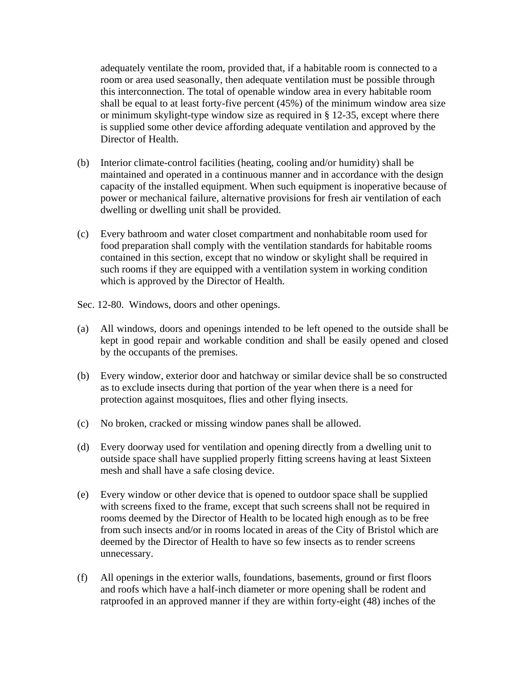adequately ventilate the room, provided that, if a habitable room is connected to a room or area used seasonally, then adequate ventilation must be possible through this interconnection. The total of openable window area in every habitable room shall be equal to at least forty-five percent (45%) of the minimum window area size or minimum skylight-type window size as required in § 12-35, except where there is supplied some other device affording adequate ventilation and approved by the Director of Health.

- (b) Interior climate-control facilities (heating, cooling and/or humidity) shall be maintained and operated in a continuous manner and in accordance with the design capacity of the installed equipment. When such equipment is inoperative because of power or mechanical failure, alternative provisions for fresh air ventilation of each dwelling or dwelling unit shall be provided.
- (c) Every bathroom and water closet compartment and nonhabitable room used for food preparation shall comply with the ventilation standards for habitable rooms contained in this section, except that no window or skylight shall be required in such rooms if they are equipped with a ventilation system in working condition which is approved by the Director of Health.

Sec. 12-80. Windows, doors and other openings.

- (a) All windows, doors and openings intended to be left opened to the outside shall be kept in good repair and workable condition and shall be easily opened and closed by the occupants of the premises.
- (b) Every window, exterior door and hatchway or similar device shall be so constructed as to exclude insects during that portion of the year when there is a need for protection against mosquitoes, flies and other flying insects.
- (c) No broken, cracked or missing window panes shall be allowed.
- (d) Every doorway used for ventilation and opening directly from a dwelling unit to outside space shall have supplied properly fitting screens having at least Sixteen mesh and shall have a safe closing device.
- (e) Every window or other device that is opened to outdoor space shall be supplied with screens fixed to the frame, except that such screens shall not be required in rooms deemed by the Director of Health to be located high enough as to be free from such insects and/or in rooms located in areas of the City of Bristol which are deemed by the Director of Health to have so few insects as to render screens unnecessary.
- (f) All openings in the exterior walls, foundations, basements, ground or first floors and roofs which have a half-inch diameter or more opening shall be rodent and ratproofed in an approved manner if they are within forty-eight (48) inches of the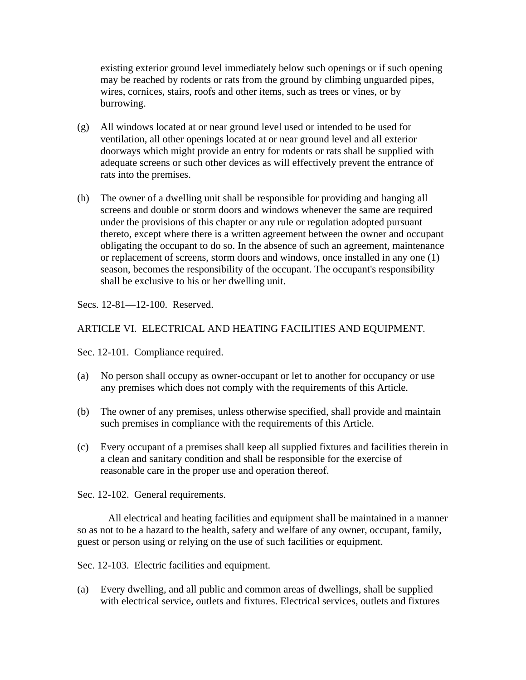existing exterior ground level immediately below such openings or if such opening may be reached by rodents or rats from the ground by climbing unguarded pipes, wires, cornices, stairs, roofs and other items, such as trees or vines, or by burrowing.

- (g) All windows located at or near ground level used or intended to be used for ventilation, all other openings located at or near ground level and all exterior doorways which might provide an entry for rodents or rats shall be supplied with adequate screens or such other devices as will effectively prevent the entrance of rats into the premises.
- (h) The owner of a dwelling unit shall be responsible for providing and hanging all screens and double or storm doors and windows whenever the same are required under the provisions of this chapter or any rule or regulation adopted pursuant thereto, except where there is a written agreement between the owner and occupant obligating the occupant to do so. In the absence of such an agreement, maintenance or replacement of screens, storm doors and windows, once installed in any one (1) season, becomes the responsibility of the occupant. The occupant's responsibility shall be exclusive to his or her dwelling unit.

Secs. 12-81—12-100. Reserved.

# ARTICLE VI. ELECTRICAL AND HEATING FACILITIES AND EQUIPMENT.

Sec. 12-101. Compliance required.

- (a) No person shall occupy as owner-occupant or let to another for occupancy or use any premises which does not comply with the requirements of this Article.
- (b) The owner of any premises, unless otherwise specified, shall provide and maintain such premises in compliance with the requirements of this Article.
- (c) Every occupant of a premises shall keep all supplied fixtures and facilities therein in a clean and sanitary condition and shall be responsible for the exercise of reasonable care in the proper use and operation thereof.

Sec. 12-102. General requirements.

 All electrical and heating facilities and equipment shall be maintained in a manner so as not to be a hazard to the health, safety and welfare of any owner, occupant, family, guest or person using or relying on the use of such facilities or equipment.

Sec. 12-103. Electric facilities and equipment.

(a) Every dwelling, and all public and common areas of dwellings, shall be supplied with electrical service, outlets and fixtures. Electrical services, outlets and fixtures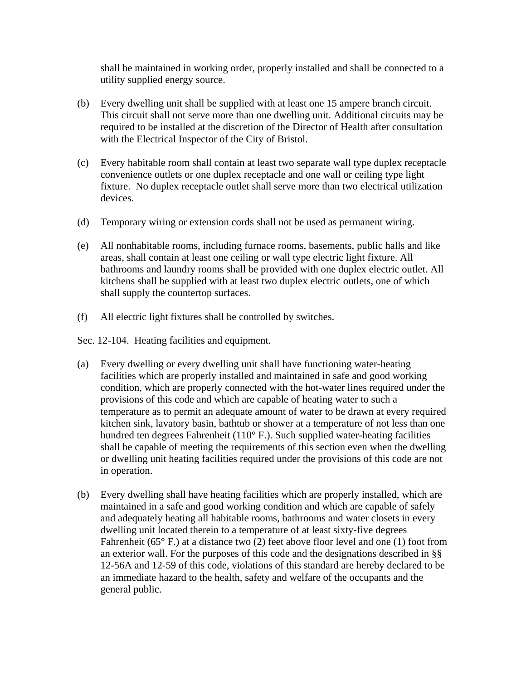shall be maintained in working order, properly installed and shall be connected to a utility supplied energy source.

- (b) Every dwelling unit shall be supplied with at least one 15 ampere branch circuit. This circuit shall not serve more than one dwelling unit. Additional circuits may be required to be installed at the discretion of the Director of Health after consultation with the Electrical Inspector of the City of Bristol.
- (c) Every habitable room shall contain at least two separate wall type duplex receptacle convenience outlets or one duplex receptacle and one wall or ceiling type light fixture. No duplex receptacle outlet shall serve more than two electrical utilization devices.
- (d) Temporary wiring or extension cords shall not be used as permanent wiring.
- (e) All nonhabitable rooms, including furnace rooms, basements, public halls and like areas, shall contain at least one ceiling or wall type electric light fixture. All bathrooms and laundry rooms shall be provided with one duplex electric outlet. All kitchens shall be supplied with at least two duplex electric outlets, one of which shall supply the countertop surfaces.
- (f) All electric light fixtures shall be controlled by switches.

Sec. 12-104. Heating facilities and equipment.

- (a) Every dwelling or every dwelling unit shall have functioning water-heating facilities which are properly installed and maintained in safe and good working condition, which are properly connected with the hot-water lines required under the provisions of this code and which are capable of heating water to such a temperature as to permit an adequate amount of water to be drawn at every required kitchen sink, lavatory basin, bathtub or shower at a temperature of not less than one hundred ten degrees Fahrenheit (110° F.). Such supplied water-heating facilities shall be capable of meeting the requirements of this section even when the dwelling or dwelling unit heating facilities required under the provisions of this code are not in operation.
- (b) Every dwelling shall have heating facilities which are properly installed, which are maintained in a safe and good working condition and which are capable of safely and adequately heating all habitable rooms, bathrooms and water closets in every dwelling unit located therein to a temperature of at least sixty-five degrees Fahrenheit ( $65^{\circ}$  F.) at a distance two (2) feet above floor level and one (1) foot from an exterior wall. For the purposes of this code and the designations described in §§ 12-56A and 12-59 of this code, violations of this standard are hereby declared to be an immediate hazard to the health, safety and welfare of the occupants and the general public.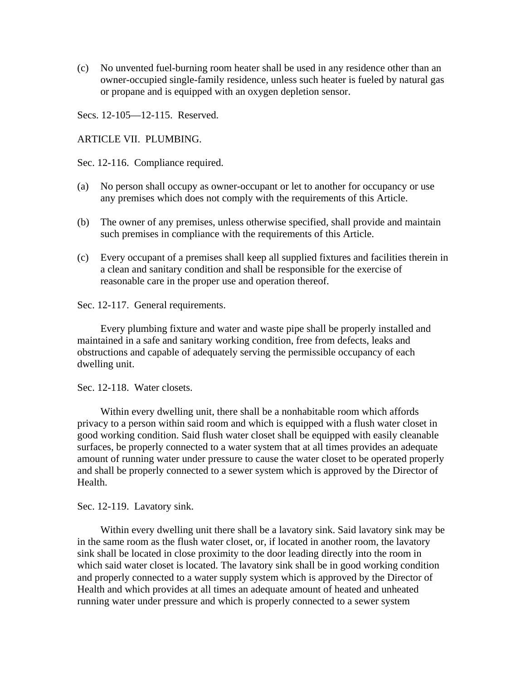(c) No unvented fuel-burning room heater shall be used in any residence other than an owner-occupied single-family residence, unless such heater is fueled by natural gas or propane and is equipped with an oxygen depletion sensor.

Secs. 12-105—12-115. Reserved.

ARTICLE VII. PLUMBING.

Sec. 12-116. Compliance required.

- (a) No person shall occupy as owner-occupant or let to another for occupancy or use any premises which does not comply with the requirements of this Article.
- (b) The owner of any premises, unless otherwise specified, shall provide and maintain such premises in compliance with the requirements of this Article.
- (c) Every occupant of a premises shall keep all supplied fixtures and facilities therein in a clean and sanitary condition and shall be responsible for the exercise of reasonable care in the proper use and operation thereof.

Sec. 12-117. General requirements.

 Every plumbing fixture and water and waste pipe shall be properly installed and maintained in a safe and sanitary working condition, free from defects, leaks and obstructions and capable of adequately serving the permissible occupancy of each dwelling unit.

Sec. 12-118. Water closets.

 Within every dwelling unit, there shall be a nonhabitable room which affords privacy to a person within said room and which is equipped with a flush water closet in good working condition. Said flush water closet shall be equipped with easily cleanable surfaces, be properly connected to a water system that at all times provides an adequate amount of running water under pressure to cause the water closet to be operated properly and shall be properly connected to a sewer system which is approved by the Director of Health.

Sec. 12-119. Lavatory sink.

 Within every dwelling unit there shall be a lavatory sink. Said lavatory sink may be in the same room as the flush water closet, or, if located in another room, the lavatory sink shall be located in close proximity to the door leading directly into the room in which said water closet is located. The lavatory sink shall be in good working condition and properly connected to a water supply system which is approved by the Director of Health and which provides at all times an adequate amount of heated and unheated running water under pressure and which is properly connected to a sewer system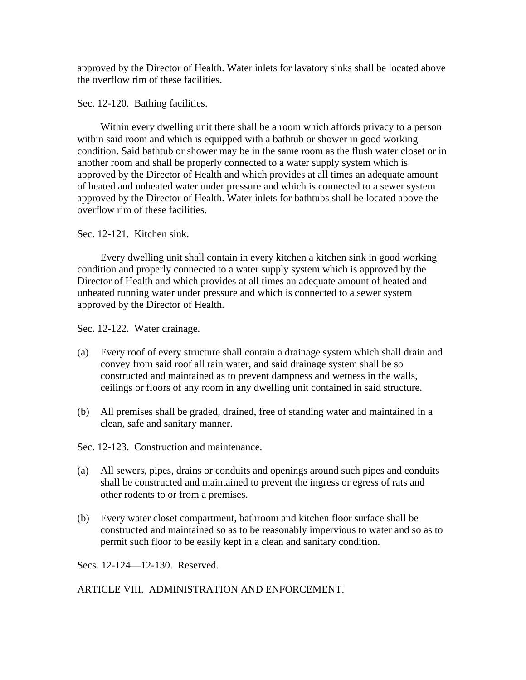approved by the Director of Health. Water inlets for lavatory sinks shall be located above the overflow rim of these facilities.

Sec. 12-120. Bathing facilities.

 Within every dwelling unit there shall be a room which affords privacy to a person within said room and which is equipped with a bathtub or shower in good working condition. Said bathtub or shower may be in the same room as the flush water closet or in another room and shall be properly connected to a water supply system which is approved by the Director of Health and which provides at all times an adequate amount of heated and unheated water under pressure and which is connected to a sewer system approved by the Director of Health. Water inlets for bathtubs shall be located above the overflow rim of these facilities.

Sec. 12-121. Kitchen sink.

 Every dwelling unit shall contain in every kitchen a kitchen sink in good working condition and properly connected to a water supply system which is approved by the Director of Health and which provides at all times an adequate amount of heated and unheated running water under pressure and which is connected to a sewer system approved by the Director of Health.

Sec. 12-122. Water drainage.

- (a) Every roof of every structure shall contain a drainage system which shall drain and convey from said roof all rain water, and said drainage system shall be so constructed and maintained as to prevent dampness and wetness in the walls, ceilings or floors of any room in any dwelling unit contained in said structure.
- (b) All premises shall be graded, drained, free of standing water and maintained in a clean, safe and sanitary manner.

Sec. 12-123. Construction and maintenance.

- (a) All sewers, pipes, drains or conduits and openings around such pipes and conduits shall be constructed and maintained to prevent the ingress or egress of rats and other rodents to or from a premises.
- (b) Every water closet compartment, bathroom and kitchen floor surface shall be constructed and maintained so as to be reasonably impervious to water and so as to permit such floor to be easily kept in a clean and sanitary condition.

Secs. 12-124—12-130. Reserved.

ARTICLE VIII. ADMINISTRATION AND ENFORCEMENT.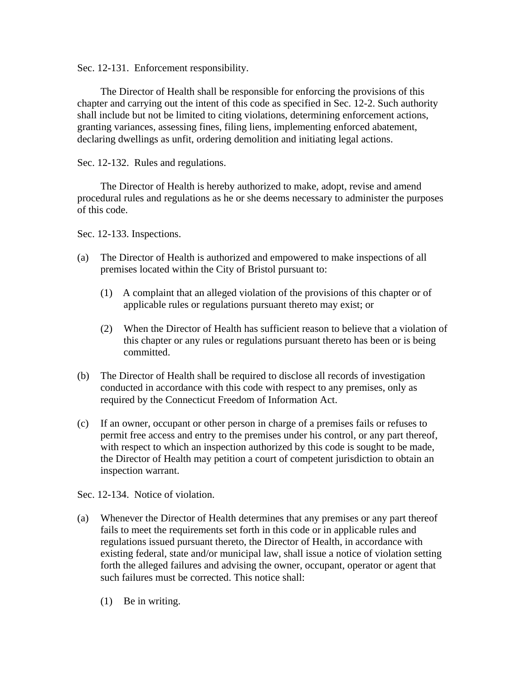Sec. 12-131. Enforcement responsibility.

The Director of Health shall be responsible for enforcing the provisions of this chapter and carrying out the intent of this code as specified in Sec. 12-2. Such authority shall include but not be limited to citing violations, determining enforcement actions, granting variances, assessing fines, filing liens, implementing enforced abatement, declaring dwellings as unfit, ordering demolition and initiating legal actions.

Sec. 12-132. Rules and regulations.

 The Director of Health is hereby authorized to make, adopt, revise and amend procedural rules and regulations as he or she deems necessary to administer the purposes of this code.

Sec. 12-133. Inspections.

- (a) The Director of Health is authorized and empowered to make inspections of all premises located within the City of Bristol pursuant to:
	- (1) A complaint that an alleged violation of the provisions of this chapter or of applicable rules or regulations pursuant thereto may exist; or
	- (2) When the Director of Health has sufficient reason to believe that a violation of this chapter or any rules or regulations pursuant thereto has been or is being committed.
- (b) The Director of Health shall be required to disclose all records of investigation conducted in accordance with this code with respect to any premises, only as required by the Connecticut Freedom of Information Act.
- (c) If an owner, occupant or other person in charge of a premises fails or refuses to permit free access and entry to the premises under his control, or any part thereof, with respect to which an inspection authorized by this code is sought to be made, the Director of Health may petition a court of competent jurisdiction to obtain an inspection warrant.

Sec. 12-134. Notice of violation.

- (a) Whenever the Director of Health determines that any premises or any part thereof fails to meet the requirements set forth in this code or in applicable rules and regulations issued pursuant thereto, the Director of Health, in accordance with existing federal, state and/or municipal law, shall issue a notice of violation setting forth the alleged failures and advising the owner, occupant, operator or agent that such failures must be corrected. This notice shall:
	- (1) Be in writing.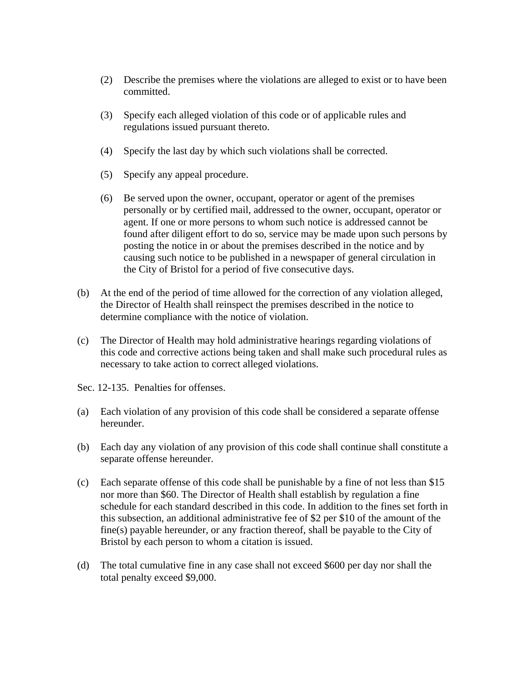- (2) Describe the premises where the violations are alleged to exist or to have been committed.
- (3) Specify each alleged violation of this code or of applicable rules and regulations issued pursuant thereto.
- (4) Specify the last day by which such violations shall be corrected.
- (5) Specify any appeal procedure.
- (6) Be served upon the owner, occupant, operator or agent of the premises personally or by certified mail, addressed to the owner, occupant, operator or agent. If one or more persons to whom such notice is addressed cannot be found after diligent effort to do so, service may be made upon such persons by posting the notice in or about the premises described in the notice and by causing such notice to be published in a newspaper of general circulation in the City of Bristol for a period of five consecutive days.
- (b) At the end of the period of time allowed for the correction of any violation alleged, the Director of Health shall reinspect the premises described in the notice to determine compliance with the notice of violation.
- (c) The Director of Health may hold administrative hearings regarding violations of this code and corrective actions being taken and shall make such procedural rules as necessary to take action to correct alleged violations.
- Sec. 12-135. Penalties for offenses.
- (a) Each violation of any provision of this code shall be considered a separate offense hereunder.
- (b) Each day any violation of any provision of this code shall continue shall constitute a separate offense hereunder.
- (c) Each separate offense of this code shall be punishable by a fine of not less than \$15 nor more than \$60. The Director of Health shall establish by regulation a fine schedule for each standard described in this code. In addition to the fines set forth in this subsection, an additional administrative fee of \$2 per \$10 of the amount of the fine(s) payable hereunder, or any fraction thereof, shall be payable to the City of Bristol by each person to whom a citation is issued.
- (d) The total cumulative fine in any case shall not exceed \$600 per day nor shall the total penalty exceed \$9,000.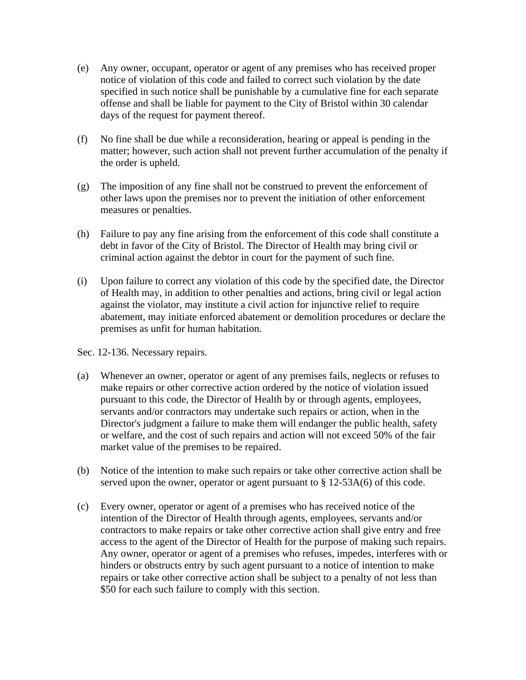- (e) Any owner, occupant, operator or agent of any premises who has received proper notice of violation of this code and failed to correct such violation by the date specified in such notice shall be punishable by a cumulative fine for each separate offense and shall be liable for payment to the City of Bristol within 30 calendar days of the request for payment thereof.
- (f) No fine shall be due while a reconsideration, hearing or appeal is pending in the matter; however, such action shall not prevent further accumulation of the penalty if the order is upheld.
- (g) The imposition of any fine shall not be construed to prevent the enforcement of other laws upon the premises nor to prevent the initiation of other enforcement measures or penalties.
- (h) Failure to pay any fine arising from the enforcement of this code shall constitute a debt in favor of the City of Bristol. The Director of Health may bring civil or criminal action against the debtor in court for the payment of such fine.
- (i) Upon failure to correct any violation of this code by the specified date, the Director of Health may, in addition to other penalties and actions, bring civil or legal action against the violator, may institute a civil action for injunctive relief to require abatement, may initiate enforced abatement or demolition procedures or declare the premises as unfit for human habitation.

Sec. 12-136. Necessary repairs.

- (a) Whenever an owner, operator or agent of any premises fails, neglects or refuses to make repairs or other corrective action ordered by the notice of violation issued pursuant to this code, the Director of Health by or through agents, employees, servants and/or contractors may undertake such repairs or action, when in the Director's judgment a failure to make them will endanger the public health, safety or welfare, and the cost of such repairs and action will not exceed 50% of the fair market value of the premises to be repaired.
- (b) Notice of the intention to make such repairs or take other corrective action shall be served upon the owner, operator or agent pursuant to § 12-53A(6) of this code.
- (c) Every owner, operator or agent of a premises who has received notice of the intention of the Director of Health through agents, employees, servants and/or contractors to make repairs or take other corrective action shall give entry and free access to the agent of the Director of Health for the purpose of making such repairs. Any owner, operator or agent of a premises who refuses, impedes, interferes with or hinders or obstructs entry by such agent pursuant to a notice of intention to make repairs or take other corrective action shall be subject to a penalty of not less than \$50 for each such failure to comply with this section.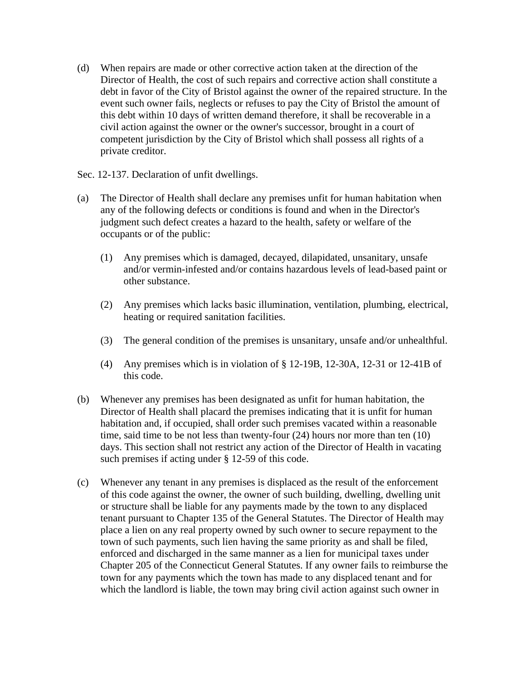- (d) When repairs are made or other corrective action taken at the direction of the Director of Health, the cost of such repairs and corrective action shall constitute a debt in favor of the City of Bristol against the owner of the repaired structure. In the event such owner fails, neglects or refuses to pay the City of Bristol the amount of this debt within 10 days of written demand therefore, it shall be recoverable in a civil action against the owner or the owner's successor, brought in a court of competent jurisdiction by the City of Bristol which shall possess all rights of a private creditor.
- Sec. 12-137. Declaration of unfit dwellings.
- (a) The Director of Health shall declare any premises unfit for human habitation when any of the following defects or conditions is found and when in the Director's judgment such defect creates a hazard to the health, safety or welfare of the occupants or of the public:
	- (1) Any premises which is damaged, decayed, dilapidated, unsanitary, unsafe and/or vermin-infested and/or contains hazardous levels of lead-based paint or other substance.
	- (2) Any premises which lacks basic illumination, ventilation, plumbing, electrical, heating or required sanitation facilities.
	- (3) The general condition of the premises is unsanitary, unsafe and/or unhealthful.
	- (4) Any premises which is in violation of § 12-19B, 12-30A, 12-31 or 12-41B of this code.
- (b) Whenever any premises has been designated as unfit for human habitation, the Director of Health shall placard the premises indicating that it is unfit for human habitation and, if occupied, shall order such premises vacated within a reasonable time, said time to be not less than twenty-four (24) hours nor more than ten (10) days. This section shall not restrict any action of the Director of Health in vacating such premises if acting under § 12-59 of this code.
- (c) Whenever any tenant in any premises is displaced as the result of the enforcement of this code against the owner, the owner of such building, dwelling, dwelling unit or structure shall be liable for any payments made by the town to any displaced tenant pursuant to Chapter 135 of the General Statutes. The Director of Health may place a lien on any real property owned by such owner to secure repayment to the town of such payments, such lien having the same priority as and shall be filed, enforced and discharged in the same manner as a lien for municipal taxes under Chapter 205 of the Connecticut General Statutes. If any owner fails to reimburse the town for any payments which the town has made to any displaced tenant and for which the landlord is liable, the town may bring civil action against such owner in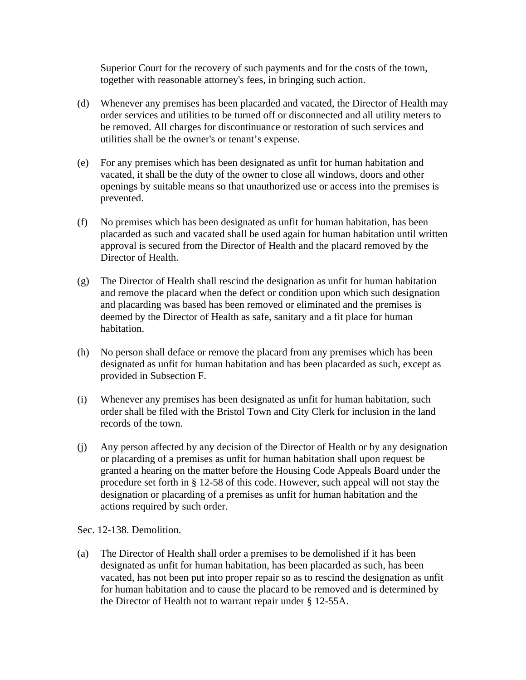Superior Court for the recovery of such payments and for the costs of the town, together with reasonable attorney's fees, in bringing such action.

- (d) Whenever any premises has been placarded and vacated, the Director of Health may order services and utilities to be turned off or disconnected and all utility meters to be removed. All charges for discontinuance or restoration of such services and utilities shall be the owner's or tenant's expense.
- (e) For any premises which has been designated as unfit for human habitation and vacated, it shall be the duty of the owner to close all windows, doors and other openings by suitable means so that unauthorized use or access into the premises is prevented.
- (f) No premises which has been designated as unfit for human habitation, has been placarded as such and vacated shall be used again for human habitation until written approval is secured from the Director of Health and the placard removed by the Director of Health.
- (g) The Director of Health shall rescind the designation as unfit for human habitation and remove the placard when the defect or condition upon which such designation and placarding was based has been removed or eliminated and the premises is deemed by the Director of Health as safe, sanitary and a fit place for human habitation.
- (h) No person shall deface or remove the placard from any premises which has been designated as unfit for human habitation and has been placarded as such, except as provided in Subsection F.
- (i) Whenever any premises has been designated as unfit for human habitation, such order shall be filed with the Bristol Town and City Clerk for inclusion in the land records of the town.
- (j) Any person affected by any decision of the Director of Health or by any designation or placarding of a premises as unfit for human habitation shall upon request be granted a hearing on the matter before the Housing Code Appeals Board under the procedure set forth in § 12-58 of this code. However, such appeal will not stay the designation or placarding of a premises as unfit for human habitation and the actions required by such order.

Sec. 12-138. Demolition.

(a) The Director of Health shall order a premises to be demolished if it has been designated as unfit for human habitation, has been placarded as such, has been vacated, has not been put into proper repair so as to rescind the designation as unfit for human habitation and to cause the placard to be removed and is determined by the Director of Health not to warrant repair under § 12-55A.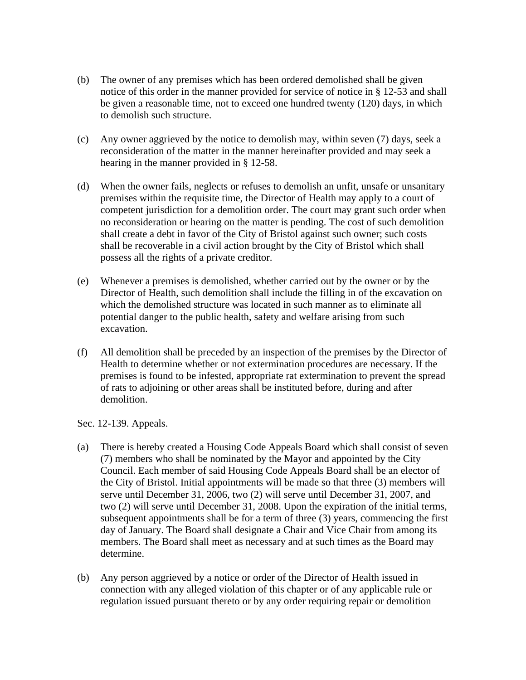- (b) The owner of any premises which has been ordered demolished shall be given notice of this order in the manner provided for service of notice in § 12-53 and shall be given a reasonable time, not to exceed one hundred twenty (120) days, in which to demolish such structure.
- (c) Any owner aggrieved by the notice to demolish may, within seven (7) days, seek a reconsideration of the matter in the manner hereinafter provided and may seek a hearing in the manner provided in § 12-58.
- (d) When the owner fails, neglects or refuses to demolish an unfit, unsafe or unsanitary premises within the requisite time, the Director of Health may apply to a court of competent jurisdiction for a demolition order. The court may grant such order when no reconsideration or hearing on the matter is pending. The cost of such demolition shall create a debt in favor of the City of Bristol against such owner; such costs shall be recoverable in a civil action brought by the City of Bristol which shall possess all the rights of a private creditor.
- (e) Whenever a premises is demolished, whether carried out by the owner or by the Director of Health, such demolition shall include the filling in of the excavation on which the demolished structure was located in such manner as to eliminate all potential danger to the public health, safety and welfare arising from such excavation.
- (f) All demolition shall be preceded by an inspection of the premises by the Director of Health to determine whether or not extermination procedures are necessary. If the premises is found to be infested, appropriate rat extermination to prevent the spread of rats to adjoining or other areas shall be instituted before, during and after demolition.

Sec. 12-139. Appeals.

- (a) There is hereby created a Housing Code Appeals Board which shall consist of seven (7) members who shall be nominated by the Mayor and appointed by the City Council. Each member of said Housing Code Appeals Board shall be an elector of the City of Bristol. Initial appointments will be made so that three (3) members will serve until December 31, 2006, two (2) will serve until December 31, 2007, and two (2) will serve until December 31, 2008. Upon the expiration of the initial terms, subsequent appointments shall be for a term of three (3) years, commencing the first day of January. The Board shall designate a Chair and Vice Chair from among its members. The Board shall meet as necessary and at such times as the Board may determine.
- (b) Any person aggrieved by a notice or order of the Director of Health issued in connection with any alleged violation of this chapter or of any applicable rule or regulation issued pursuant thereto or by any order requiring repair or demolition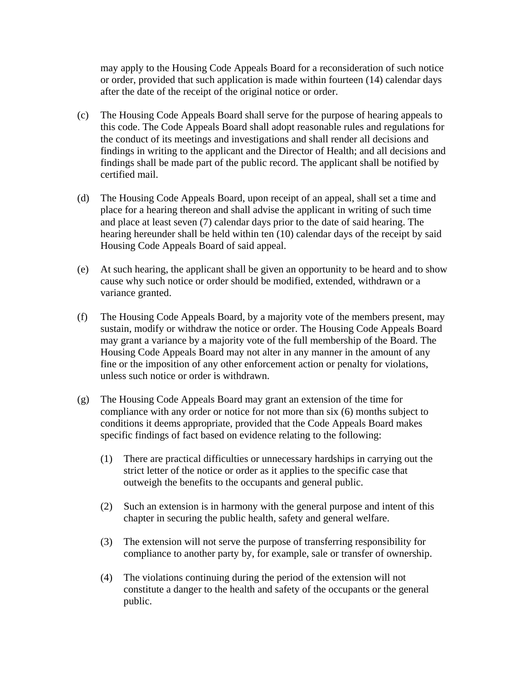may apply to the Housing Code Appeals Board for a reconsideration of such notice or order, provided that such application is made within fourteen (14) calendar days after the date of the receipt of the original notice or order.

- (c) The Housing Code Appeals Board shall serve for the purpose of hearing appeals to this code. The Code Appeals Board shall adopt reasonable rules and regulations for the conduct of its meetings and investigations and shall render all decisions and findings in writing to the applicant and the Director of Health; and all decisions and findings shall be made part of the public record. The applicant shall be notified by certified mail.
- (d) The Housing Code Appeals Board, upon receipt of an appeal, shall set a time and place for a hearing thereon and shall advise the applicant in writing of such time and place at least seven (7) calendar days prior to the date of said hearing. The hearing hereunder shall be held within ten (10) calendar days of the receipt by said Housing Code Appeals Board of said appeal.
- (e) At such hearing, the applicant shall be given an opportunity to be heard and to show cause why such notice or order should be modified, extended, withdrawn or a variance granted.
- (f) The Housing Code Appeals Board, by a majority vote of the members present, may sustain, modify or withdraw the notice or order. The Housing Code Appeals Board may grant a variance by a majority vote of the full membership of the Board. The Housing Code Appeals Board may not alter in any manner in the amount of any fine or the imposition of any other enforcement action or penalty for violations, unless such notice or order is withdrawn.
- (g) The Housing Code Appeals Board may grant an extension of the time for compliance with any order or notice for not more than six (6) months subject to conditions it deems appropriate, provided that the Code Appeals Board makes specific findings of fact based on evidence relating to the following:
	- (1) There are practical difficulties or unnecessary hardships in carrying out the strict letter of the notice or order as it applies to the specific case that outweigh the benefits to the occupants and general public.
	- (2) Such an extension is in harmony with the general purpose and intent of this chapter in securing the public health, safety and general welfare.
	- (3) The extension will not serve the purpose of transferring responsibility for compliance to another party by, for example, sale or transfer of ownership.
	- (4) The violations continuing during the period of the extension will not constitute a danger to the health and safety of the occupants or the general public.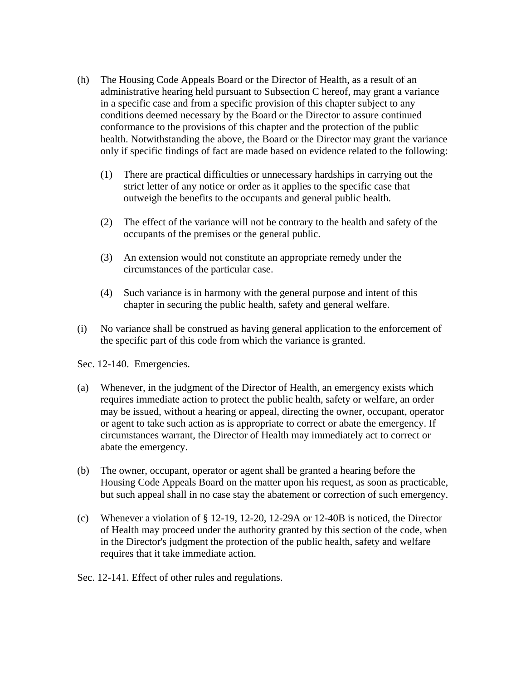- (h) The Housing Code Appeals Board or the Director of Health, as a result of an administrative hearing held pursuant to Subsection C hereof, may grant a variance in a specific case and from a specific provision of this chapter subject to any conditions deemed necessary by the Board or the Director to assure continued conformance to the provisions of this chapter and the protection of the public health. Notwithstanding the above, the Board or the Director may grant the variance only if specific findings of fact are made based on evidence related to the following:
	- (1) There are practical difficulties or unnecessary hardships in carrying out the strict letter of any notice or order as it applies to the specific case that outweigh the benefits to the occupants and general public health.
	- (2) The effect of the variance will not be contrary to the health and safety of the occupants of the premises or the general public.
	- (3) An extension would not constitute an appropriate remedy under the circumstances of the particular case.
	- (4) Such variance is in harmony with the general purpose and intent of this chapter in securing the public health, safety and general welfare.
- (i) No variance shall be construed as having general application to the enforcement of the specific part of this code from which the variance is granted.

Sec. 12-140. Emergencies.

- (a) Whenever, in the judgment of the Director of Health, an emergency exists which requires immediate action to protect the public health, safety or welfare, an order may be issued, without a hearing or appeal, directing the owner, occupant, operator or agent to take such action as is appropriate to correct or abate the emergency. If circumstances warrant, the Director of Health may immediately act to correct or abate the emergency.
- (b) The owner, occupant, operator or agent shall be granted a hearing before the Housing Code Appeals Board on the matter upon his request, as soon as practicable, but such appeal shall in no case stay the abatement or correction of such emergency.
- (c) Whenever a violation of § 12-19, 12-20, 12-29A or 12-40B is noticed, the Director of Health may proceed under the authority granted by this section of the code, when in the Director's judgment the protection of the public health, safety and welfare requires that it take immediate action.
- Sec. 12-141. Effect of other rules and regulations.